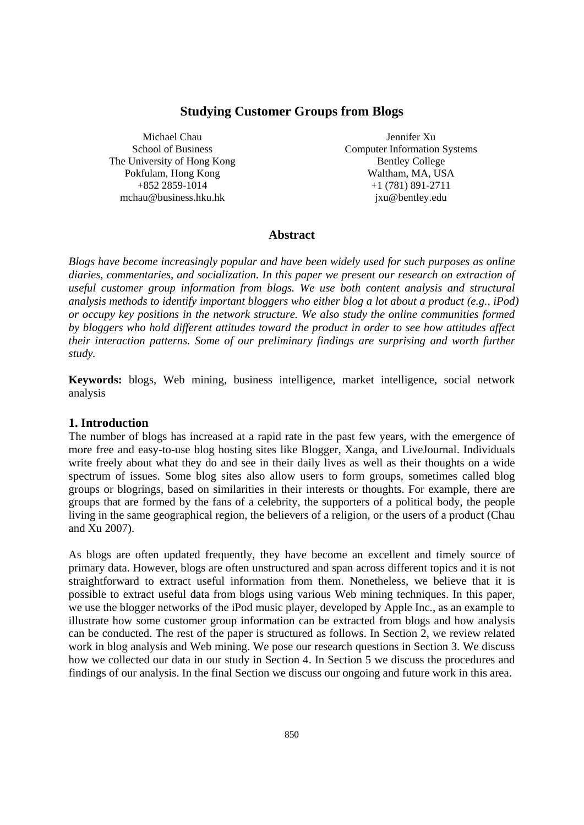# **Studying Customer Groups from Blogs**

Michael Chau School of Business The University of Hong Kong Pokfulam, Hong Kong +852 2859-1014 mchau@business.hku.hk

Jennifer Xu Computer Information Systems Bentley College Waltham, MA, USA +1 (781) 891-2711 jxu@bentley.edu

### **Abstract**

*Blogs have become increasingly popular and have been widely used for such purposes as online diaries, commentaries, and socialization. In this paper we present our research on extraction of useful customer group information from blogs. We use both content analysis and structural analysis methods to identify important bloggers who either blog a lot about a product (e.g., iPod) or occupy key positions in the network structure. We also study the online communities formed by bloggers who hold different attitudes toward the product in order to see how attitudes affect their interaction patterns. Some of our preliminary findings are surprising and worth further study.* 

**Keywords:** blogs, Web mining, business intelligence, market intelligence, social network analysis

### **1. Introduction**

The number of blogs has increased at a rapid rate in the past few years, with the emergence of more free and easy-to-use blog hosting sites like Blogger, Xanga, and LiveJournal. Individuals write freely about what they do and see in their daily lives as well as their thoughts on a wide spectrum of issues. Some blog sites also allow users to form groups, sometimes called blog groups or blogrings, based on similarities in their interests or thoughts. For example, there are groups that are formed by the fans of a celebrity, the supporters of a political body, the people living in the same geographical region, the believers of a religion, or the users of a product (Chau and Xu 2007).

As blogs are often updated frequently, they have become an excellent and timely source of primary data. However, blogs are often unstructured and span across different topics and it is not straightforward to extract useful information from them. Nonetheless, we believe that it is possible to extract useful data from blogs using various Web mining techniques. In this paper, we use the blogger networks of the iPod music player, developed by Apple Inc., as an example to illustrate how some customer group information can be extracted from blogs and how analysis can be conducted. The rest of the paper is structured as follows. In Section 2, we review related work in blog analysis and Web mining. We pose our research questions in Section 3. We discuss how we collected our data in our study in Section 4. In Section 5 we discuss the procedures and findings of our analysis. In the final Section we discuss our ongoing and future work in this area.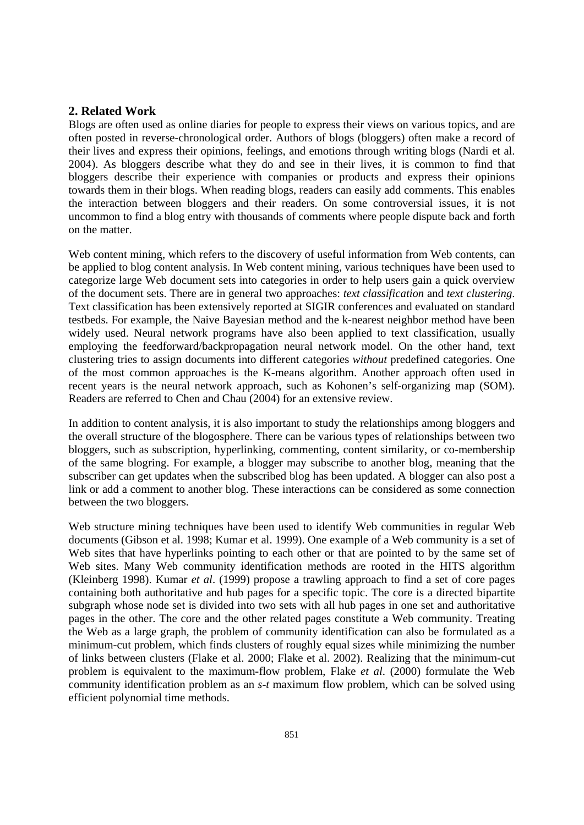## **2. Related Work**

Blogs are often used as online diaries for people to express their views on various topics, and are often posted in reverse-chronological order. Authors of blogs (bloggers) often make a record of their lives and express their opinions, feelings, and emotions through writing blogs (Nardi et al. 2004). As bloggers describe what they do and see in their lives, it is common to find that bloggers describe their experience with companies or products and express their opinions towards them in their blogs. When reading blogs, readers can easily add comments. This enables the interaction between bloggers and their readers. On some controversial issues, it is not uncommon to find a blog entry with thousands of comments where people dispute back and forth on the matter.

Web content mining, which refers to the discovery of useful information from Web contents, can be applied to blog content analysis. In Web content mining, various techniques have been used to categorize large Web document sets into categories in order to help users gain a quick overview of the document sets. There are in general two approaches: *text classification* and *text clustering*. Text classification has been extensively reported at SIGIR conferences and evaluated on standard testbeds. For example, the Naive Bayesian method and the k-nearest neighbor method have been widely used. Neural network programs have also been applied to text classification, usually employing the feedforward/backpropagation neural network model. On the other hand, text clustering tries to assign documents into different categories *without* predefined categories. One of the most common approaches is the K-means algorithm. Another approach often used in recent years is the neural network approach, such as Kohonen's self-organizing map (SOM). Readers are referred to Chen and Chau (2004) for an extensive review.

In addition to content analysis, it is also important to study the relationships among bloggers and the overall structure of the blogosphere. There can be various types of relationships between two bloggers, such as subscription, hyperlinking, commenting, content similarity, or co-membership of the same blogring. For example, a blogger may subscribe to another blog, meaning that the subscriber can get updates when the subscribed blog has been updated. A blogger can also post a link or add a comment to another blog. These interactions can be considered as some connection between the two bloggers.

Web structure mining techniques have been used to identify Web communities in regular Web documents (Gibson et al. 1998; Kumar et al. 1999). One example of a Web community is a set of Web sites that have hyperlinks pointing to each other or that are pointed to by the same set of Web sites. Many Web community identification methods are rooted in the HITS algorithm (Kleinberg 1998). Kumar *et al*. (1999) propose a trawling approach to find a set of core pages containing both authoritative and hub pages for a specific topic. The core is a directed bipartite subgraph whose node set is divided into two sets with all hub pages in one set and authoritative pages in the other. The core and the other related pages constitute a Web community. Treating the Web as a large graph, the problem of community identification can also be formulated as a minimum-cut problem, which finds clusters of roughly equal sizes while minimizing the number of links between clusters (Flake et al. 2000; Flake et al. 2002). Realizing that the minimum-cut problem is equivalent to the maximum-flow problem, Flake *et al*. (2000) formulate the Web community identification problem as an *s*-*t* maximum flow problem, which can be solved using efficient polynomial time methods.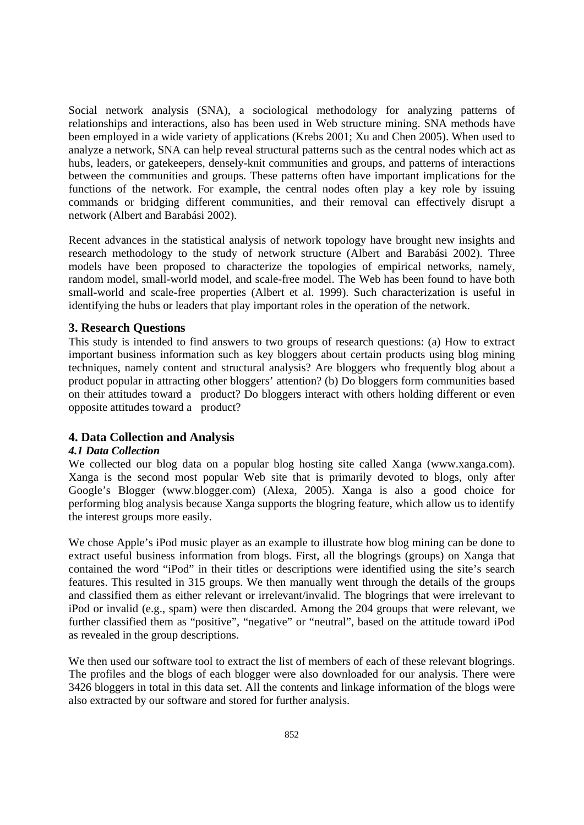Social network analysis (SNA), a sociological methodology for analyzing patterns of relationships and interactions, also has been used in Web structure mining. SNA methods have been employed in a wide variety of applications (Krebs 2001; Xu and Chen 2005). When used to analyze a network, SNA can help reveal structural patterns such as the central nodes which act as hubs, leaders, or gatekeepers, densely-knit communities and groups, and patterns of interactions between the communities and groups. These patterns often have important implications for the functions of the network. For example, the central nodes often play a key role by issuing commands or bridging different communities, and their removal can effectively disrupt a network (Albert and Barabási 2002).

Recent advances in the statistical analysis of network topology have brought new insights and research methodology to the study of network structure (Albert and Barabási 2002). Three models have been proposed to characterize the topologies of empirical networks, namely, random model, small-world model, and scale-free model. The Web has been found to have both small-world and scale-free properties (Albert et al. 1999). Such characterization is useful in identifying the hubs or leaders that play important roles in the operation of the network.

## **3. Research Questions**

This study is intended to find answers to two groups of research questions: (a) How to extract important business information such as key bloggers about certain products using blog mining techniques, namely content and structural analysis? Are bloggers who frequently blog about a product popular in attracting other bloggers' attention? (b) Do bloggers form communities based on their attitudes toward a product? Do bloggers interact with others holding different or even opposite attitudes toward a product?

## **4. Data Collection and Analysis**

## *4.1 Data Collection*

We collected our blog data on a popular blog hosting site called Xanga (www.xanga.com). Xanga is the second most popular Web site that is primarily devoted to blogs, only after Google's Blogger (www.blogger.com) (Alexa, 2005). Xanga is also a good choice for performing blog analysis because Xanga supports the blogring feature, which allow us to identify the interest groups more easily.

We chose Apple's iPod music player as an example to illustrate how blog mining can be done to extract useful business information from blogs. First, all the blogrings (groups) on Xanga that contained the word "iPod" in their titles or descriptions were identified using the site's search features. This resulted in 315 groups. We then manually went through the details of the groups and classified them as either relevant or irrelevant/invalid. The blogrings that were irrelevant to iPod or invalid (e.g., spam) were then discarded. Among the 204 groups that were relevant, we further classified them as "positive", "negative" or "neutral", based on the attitude toward iPod as revealed in the group descriptions.

We then used our software tool to extract the list of members of each of these relevant blogrings. The profiles and the blogs of each blogger were also downloaded for our analysis. There were 3426 bloggers in total in this data set. All the contents and linkage information of the blogs were also extracted by our software and stored for further analysis.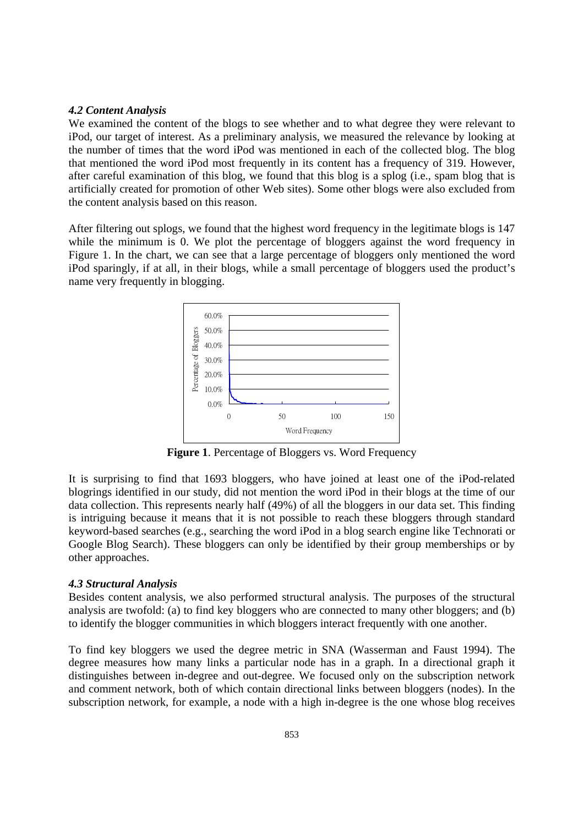#### *4.2 Content Analysis*

We examined the content of the blogs to see whether and to what degree they were relevant to iPod, our target of interest. As a preliminary analysis, we measured the relevance by looking at the number of times that the word iPod was mentioned in each of the collected blog. The blog that mentioned the word iPod most frequently in its content has a frequency of 319. However, after careful examination of this blog, we found that this blog is a splog (i.e., spam blog that is artificially created for promotion of other Web sites). Some other blogs were also excluded from the content analysis based on this reason.

After filtering out splogs, we found that the highest word frequency in the legitimate blogs is 147 while the minimum is 0. We plot the percentage of bloggers against the word frequency in Figure 1. In the chart, we can see that a large percentage of bloggers only mentioned the word iPod sparingly, if at all, in their blogs, while a small percentage of bloggers used the product's name very frequently in blogging.



**Figure 1**. Percentage of Bloggers vs. Word Frequency

It is surprising to find that 1693 bloggers, who have joined at least one of the iPod-related blogrings identified in our study, did not mention the word iPod in their blogs at the time of our data collection. This represents nearly half (49%) of all the bloggers in our data set. This finding is intriguing because it means that it is not possible to reach these bloggers through standard keyword-based searches (e.g., searching the word iPod in a blog search engine like Technorati or Google Blog Search). These bloggers can only be identified by their group memberships or by other approaches.

## *4.3 Structural Analysis*

Besides content analysis, we also performed structural analysis. The purposes of the structural analysis are twofold: (a) to find key bloggers who are connected to many other bloggers; and (b) to identify the blogger communities in which bloggers interact frequently with one another.

To find key bloggers we used the degree metric in SNA (Wasserman and Faust 1994). The degree measures how many links a particular node has in a graph. In a directional graph it distinguishes between in-degree and out-degree. We focused only on the subscription network and comment network, both of which contain directional links between bloggers (nodes). In the subscription network, for example, a node with a high in-degree is the one whose blog receives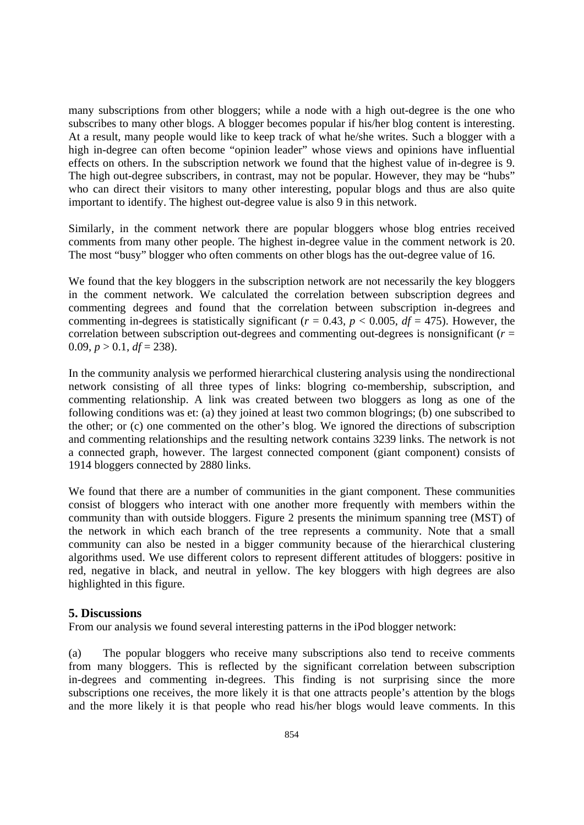many subscriptions from other bloggers; while a node with a high out-degree is the one who subscribes to many other blogs. A blogger becomes popular if his/her blog content is interesting. At a result, many people would like to keep track of what he/she writes. Such a blogger with a high in-degree can often become "opinion leader" whose views and opinions have influential effects on others. In the subscription network we found that the highest value of in-degree is 9. The high out-degree subscribers, in contrast, may not be popular. However, they may be "hubs" who can direct their visitors to many other interesting, popular blogs and thus are also quite important to identify. The highest out-degree value is also 9 in this network.

Similarly, in the comment network there are popular bloggers whose blog entries received comments from many other people. The highest in-degree value in the comment network is 20. The most "busy" blogger who often comments on other blogs has the out-degree value of 16.

We found that the key bloggers in the subscription network are not necessarily the key bloggers in the comment network. We calculated the correlation between subscription degrees and commenting degrees and found that the correlation between subscription in-degrees and commenting in-degrees is statistically significant ( $r = 0.43$ ,  $p < 0.005$ ,  $df = 475$ ). However, the correlation between subscription out-degrees and commenting out-degrees is nonsignificant (*r* = 0.09,  $p > 0.1$ ,  $df = 238$ ).

In the community analysis we performed hierarchical clustering analysis using the nondirectional network consisting of all three types of links: blogring co-membership, subscription, and commenting relationship. A link was created between two bloggers as long as one of the following conditions was et: (a) they joined at least two common blogrings; (b) one subscribed to the other; or (c) one commented on the other's blog. We ignored the directions of subscription and commenting relationships and the resulting network contains 3239 links. The network is not a connected graph, however. The largest connected component (giant component) consists of 1914 bloggers connected by 2880 links.

We found that there are a number of communities in the giant component. These communities consist of bloggers who interact with one another more frequently with members within the community than with outside bloggers. Figure 2 presents the minimum spanning tree (MST) of the network in which each branch of the tree represents a community. Note that a small community can also be nested in a bigger community because of the hierarchical clustering algorithms used. We use different colors to represent different attitudes of bloggers: positive in red, negative in black, and neutral in yellow. The key bloggers with high degrees are also highlighted in this figure.

# **5. Discussions**

From our analysis we found several interesting patterns in the iPod blogger network:

(a) The popular bloggers who receive many subscriptions also tend to receive comments from many bloggers. This is reflected by the significant correlation between subscription in-degrees and commenting in-degrees. This finding is not surprising since the more subscriptions one receives, the more likely it is that one attracts people's attention by the blogs and the more likely it is that people who read his/her blogs would leave comments. In this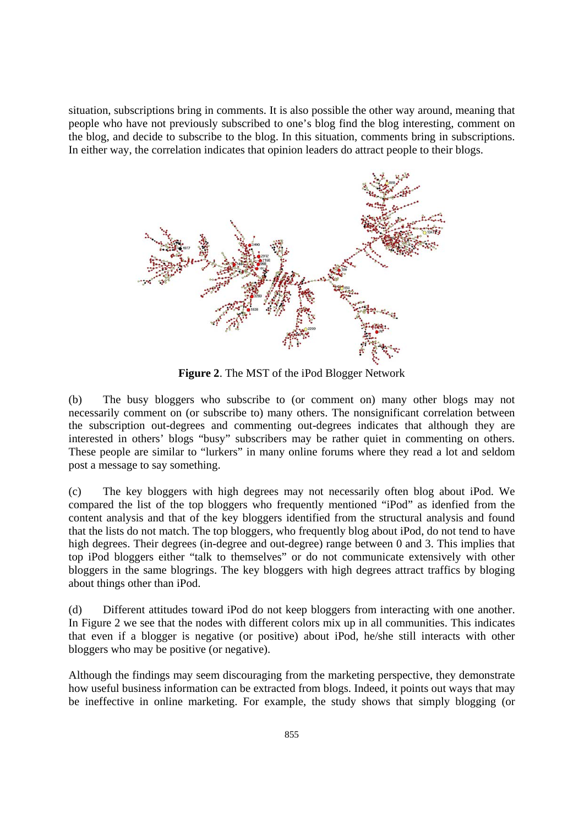situation, subscriptions bring in comments. It is also possible the other way around, meaning that people who have not previously subscribed to one's blog find the blog interesting, comment on the blog, and decide to subscribe to the blog. In this situation, comments bring in subscriptions. In either way, the correlation indicates that opinion leaders do attract people to their blogs.



**Figure 2**. The MST of the iPod Blogger Network

(b) The busy bloggers who subscribe to (or comment on) many other blogs may not necessarily comment on (or subscribe to) many others. The nonsignificant correlation between the subscription out-degrees and commenting out-degrees indicates that although they are interested in others' blogs "busy" subscribers may be rather quiet in commenting on others. These people are similar to "lurkers" in many online forums where they read a lot and seldom post a message to say something.

(c) The key bloggers with high degrees may not necessarily often blog about iPod. We compared the list of the top bloggers who frequently mentioned "iPod" as idenfied from the content analysis and that of the key bloggers identified from the structural analysis and found that the lists do not match. The top bloggers, who frequently blog about iPod, do not tend to have high degrees. Their degrees (in-degree and out-degree) range between 0 and 3. This implies that top iPod bloggers either "talk to themselves" or do not communicate extensively with other bloggers in the same blogrings. The key bloggers with high degrees attract traffics by bloging about things other than iPod.

(d) Different attitudes toward iPod do not keep bloggers from interacting with one another. In Figure 2 we see that the nodes with different colors mix up in all communities. This indicates that even if a blogger is negative (or positive) about iPod, he/she still interacts with other bloggers who may be positive (or negative).

Although the findings may seem discouraging from the marketing perspective, they demonstrate how useful business information can be extracted from blogs. Indeed, it points out ways that may be ineffective in online marketing. For example, the study shows that simply blogging (or